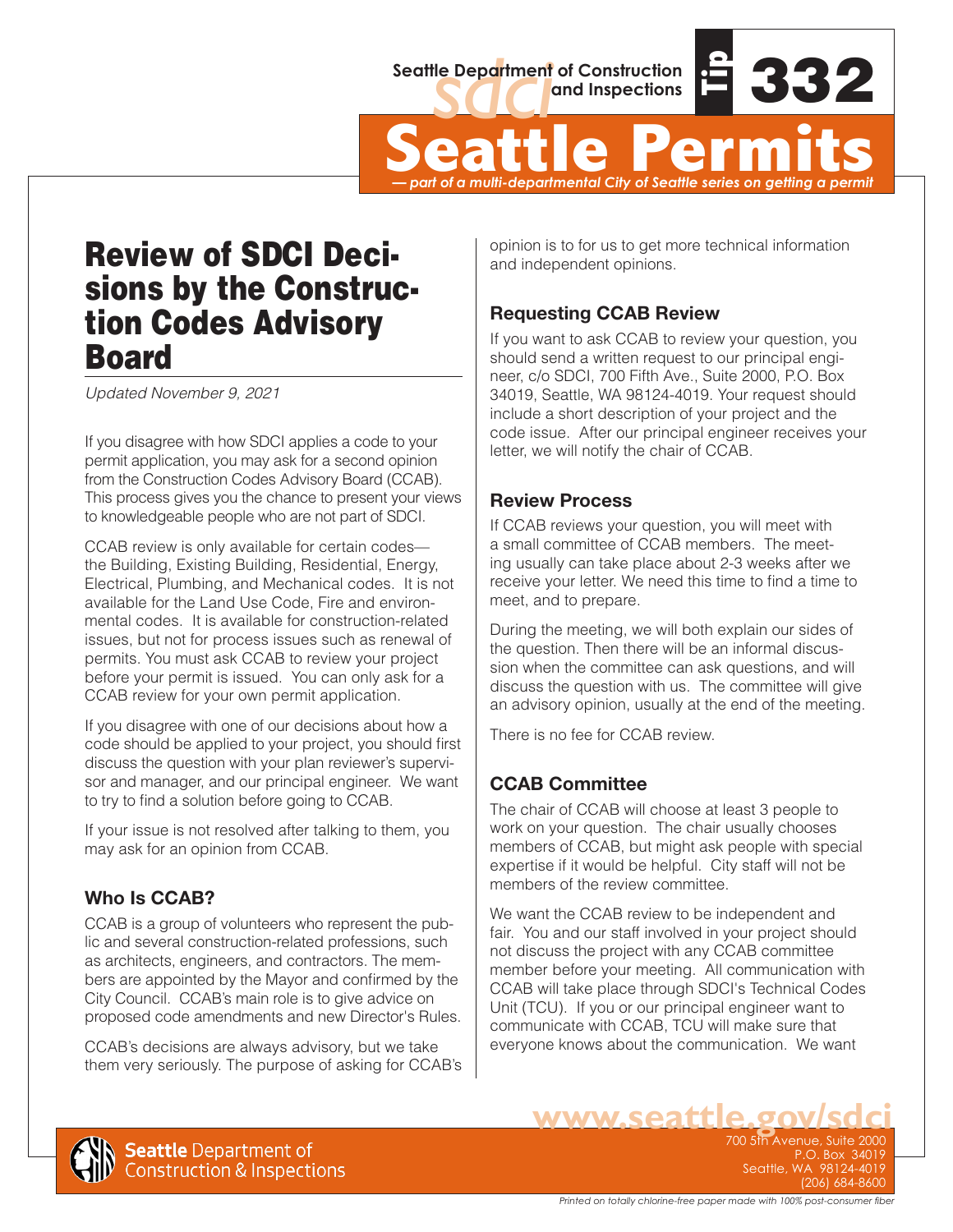

Seattle Department of Construction<br> **Seattle Permits**<br>  $\frac{1}{2}$ <br> **Seattle Permits** *— part of a multi-departmental City of Seattle series on getting a permit*

# Review of SDCI Deci sions by the Construc tion Codes Advisory Board

*Updated November 9, 2021*

If you disagree with how SDCI applies a code to your permit application, you may ask for a second opinion from the Construction Codes Advisory Board (CCAB). This process gives you the chance to present your views to knowledgeable people who are not part of SDCI.

CCAB review is only available for certain codes the Building, Existing Building, Residential, Energy, Electrical, Plumbing, and Mechanical codes. It is not available for the Land Use Code, Fire and environmental codes. It is available for construction-related issues, but not for process issues such as renewal of permits. You must ask CCAB to review your project before your permit is issued. You can only ask for a CCAB review for your own permit application.

If you disagree with one of our decisions about how a code should be applied to your project, you should first discuss the question with your plan reviewer's supervisor and manager, and our principal engineer. We want to try to find a solution before going to CCAB.

If your issue is not resolved after talking to them, you may ask for an opinion from CCAB.

# **Who Is CCAB?**

CCAB is a group of volunteers who represent the public and several construction-related professions, such as architects, engineers, and contractors. The members are appointed by the Mayor and confirmed by the City Council. CCAB's main role is to give advice on proposed code amendments and new Director's Rules.

CCAB's decisions are always advisory, but we take them very seriously. The purpose of asking for CCAB's opinion is to for us to get more technical information and independent opinions.

# **Requesting CCAB Review**

If you want to ask CCAB to review your question, you should send a written request to our principal engineer, c/o SDCI, 700 Fifth Ave., Suite 2000, P.O. Box 34019, Seattle, WA 98124-4019. Your request should include a short description of your project and the code issue. After our principal engineer receives your letter, we will notify the chair of CCAB.

#### **Review Process**

If CCAB reviews your question, you will meet with a small committee of CCAB members. The meeting usually can take place about 2-3 weeks after we receive your letter. We need this time to find a time to meet, and to prepare.

During the meeting, we will both explain our sides of the question. Then there will be an informal discussion when the committee can ask questions, and will discuss the question with us. The committee will give an advisory opinion, usually at the end of the meeting.

There is no fee for CCAB review.

# **CCAB Committee**

The chair of CCAB will choose at least 3 people to work on your question. The chair usually chooses members of CCAB, but might ask people with special expertise if it would be helpful. City staff will not be members of the review committee.

We want the CCAB review to be independent and fair. You and our staff involved in your project should not discuss the project with any CCAB committee member before your meeting. All communication with CCAB will take place through SDCI's Technical Codes Unit (TCU). If you or our principal engineer want to communicate with CCAB, TCU will make sure that everyone knows about the communication. We want

**WWW.Seattle.gov/SdC**